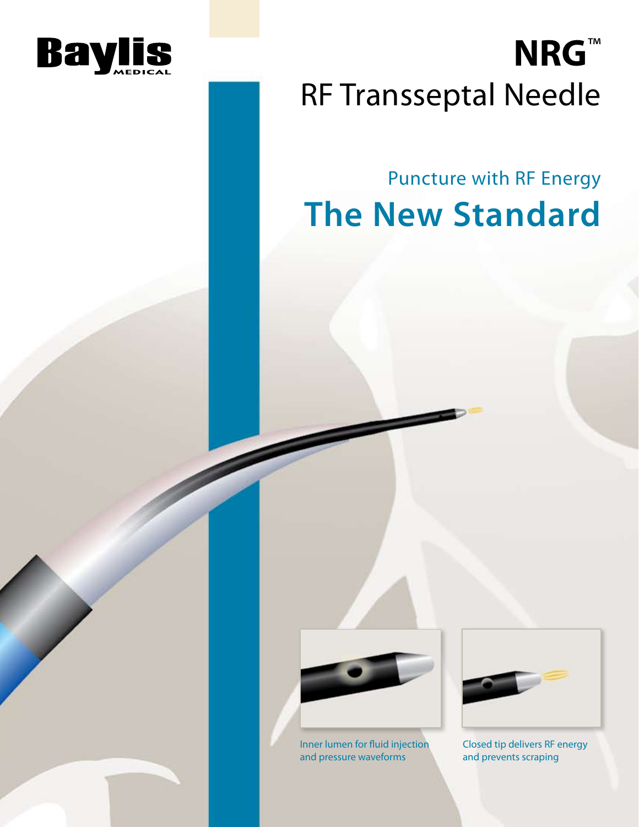

# **NRG**™ RF Transseptal Needle

### Puncture with RF Energy **The New Standard**



Inner lumen for fluid injection and pressure waveforms



Closed tip delivers RF energy and prevents scraping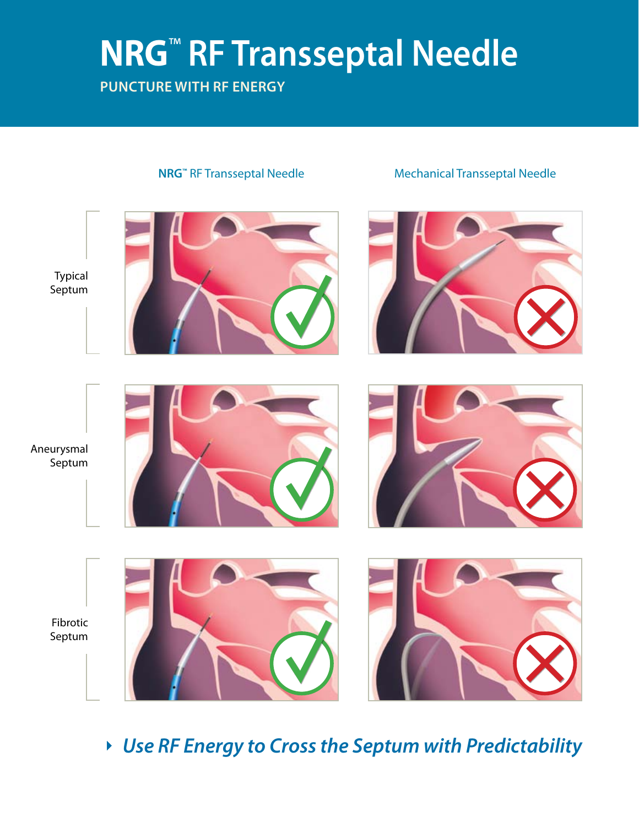# **NRG**™ **RF Transseptal Needle**

### **Puncture with rf energy**



*Use RF Energy to Cross the Septum with Predictability*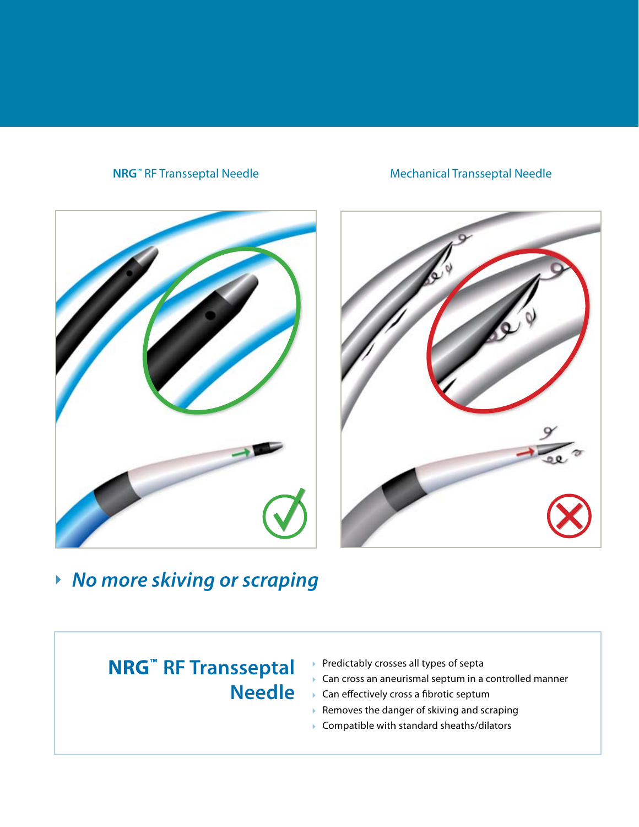#### **NRG<sup>™</sup> RF Transseptal Needle** Mechanical Transseptal Needle





### *No more skiving or scraping*

### **NRG™ RF Transseptal Needle**

- Predictably crosses all types of septa
- ▶ Can cross an aneurismal septum in a controlled manner
- ▶ Can effectively cross a fibrotic septum
- $\triangleright$  Removes the danger of skiving and scraping
- Compatible with standard sheaths/dilators